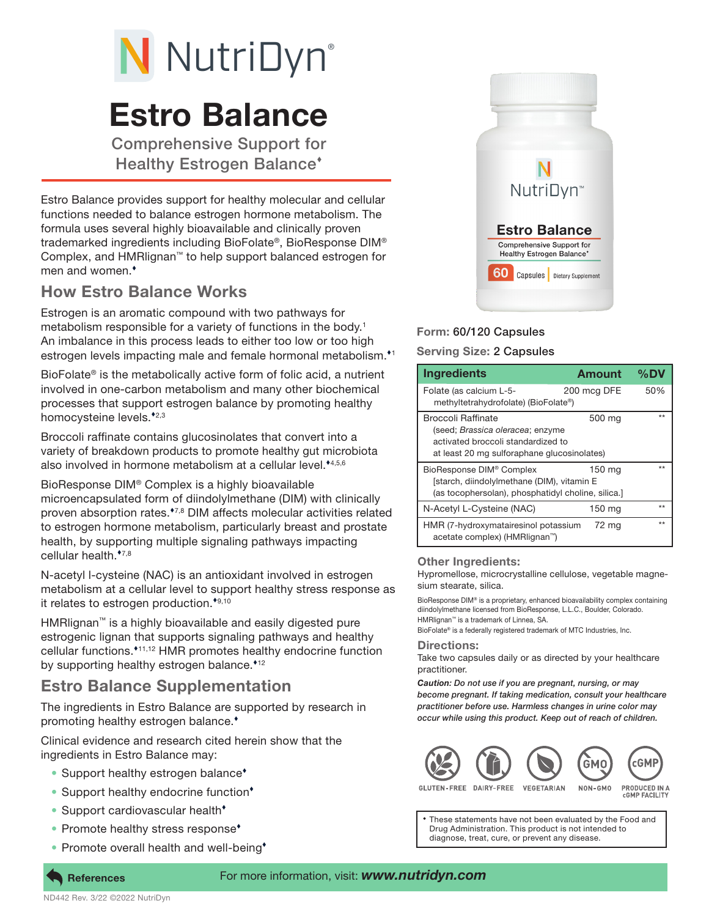# N NutriDyn®

# Estro Balance

Comprehensive Support for Healthy Estrogen Balance

Estro Balance provides support for healthy molecular and cellular functions needed to balance estrogen hormone metabolism. The formula uses several highly bioavailable and clinically proven trademarked ingredients including BioFolate®, BioResponse DIM® Complex, and HMRlignan™ to help support balanced estrogen for men and women.

## How Estro Balance Works

Estrogen is an aromatic compound with two pathways for metabolism responsible for a variety of functions in the body.<sup>1</sup> An imbalance in this process leads to either too low or too high estrogen levels impacting male and female hormonal metabolism.<sup>\*1</sup>

BioFolate® is the metabolically active form of folic acid, a nutrient involved in one-carbon metabolism and many other biochemical processes that support estrogen balance by promoting healthy homocysteine levels.<sup>\*2,3</sup>

Broccoli raffinate contains glucosinolates that convert into a variety of breakdown products to promote healthy gut microbiota also involved in hormone metabolism at a cellular level.<sup> $*4,5,6$ </sup>

BioResponse DIM® Complex is a highly bioavailable microencapsulated form of diindolylmethane (DIM) with clinically proven absorption rates.<sup>\*7,8</sup> DIM affects molecular activities related to estrogen hormone metabolism, particularly breast and prostate health, by supporting multiple signaling pathways impacting cellular health.<sup>\*7,8</sup>

N-acetyl l-cysteine (NAC) is an antioxidant involved in estrogen metabolism at a cellular level to support healthy stress response as it relates to estrogen production. $*9,10$ 

HMRlignan™ is a highly bioavailable and easily digested pure estrogenic lignan that supports signaling pathways and healthy cellular functions.<sup>\*11,12</sup> HMR promotes healthy endocrine function by supporting healthy estrogen balance.<sup>\*12</sup>

### Estro Balance Supplementation

The ingredients in Estro Balance are supported by research in promoting healthy estrogen balance.

Clinical evidence and research cited herein show that the ingredients in Estro Balance may:

- Support healthy estrogen balance<sup>\*</sup>
- Support healthy endocrine function<sup>\*</sup>
- Support cardiovascular health<sup>\*</sup>
- Promote healthy stress response<sup>\*</sup>
- Promote overall health and well-being<sup>+</sup>



#### Form: 60/120 Capsules

#### Serving Size: 2 Capsules

| <b>Ingredients</b>                                                                                                                                           | <b>Amount</b> | $\%$ DV |
|--------------------------------------------------------------------------------------------------------------------------------------------------------------|---------------|---------|
| Folate (as calcium L-5-<br>methyltetrahydrofolate) (BioFolate®)                                                                                              | 200 mcg DFE   | 50%     |
| <b>Broccoli Raffinate</b><br>500 mg<br>(seed; Brassica oleracea; enzyme<br>activated broccoli standardized to<br>at least 20 mg sulforaphane glucosinolates) |               | $***$   |
| BioResponse DIM <sup>®</sup> Complex<br>150 ma<br>[starch, diindolylmethane (DIM), vitamin E<br>(as tocophersolan), phosphatidyl choline, silica.]           |               | $**$    |
| N-Acetyl L-Cysteine (NAC)                                                                                                                                    | 150 mg        | $**$    |
| HMR (7-hydroxymatairesinol potassium<br>acetate complex) (HMRlignan <sup>™</sup> )                                                                           | 72 mg         | $*$     |

#### Other Ingredients:

Hypromellose, microcrystalline cellulose, vegetable magnesium stearate, silica.

BioResponse DIM® is a proprietary, enhanced bioavailability complex containing diindolylmethane licensed from BioResponse, L.L.C., Boulder, Colorado. HMRlignan™ is a trademark of Linnea, SA.

BioFolate® is a federally registered trademark of MTC Industries, Inc.

#### Directions:

Take two capsules daily or as directed by your healthcare practitioner.

*Caution: Do not use if you are pregnant, nursing, or may become pregnant. If taking medication, consult your healthcare practitioner before use. Harmless changes in urine color may occur while using this product. Keep out of reach of children.*



GLUTEN-EREE DAIRY-EREE

PRODUCED IN A<br>cGMP FACILITY

These statements have not been evaluated by the Food and Drug Administration. This product is not intended to diagnose, treat, cure, or prevent any disease.

ND442 Rev. 3/22 ©2022 NutriDyn

#### References For more information, visit: *www.nutridyn.com*